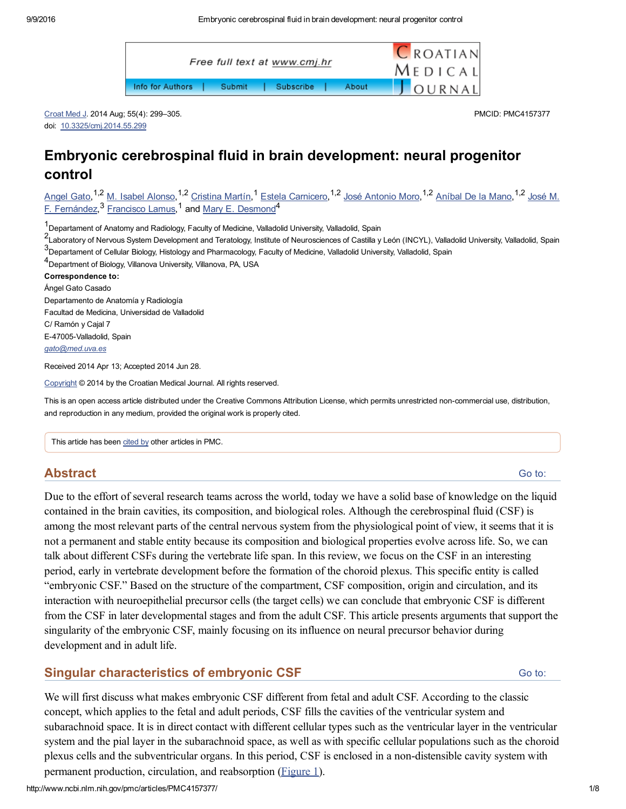| Free full text at www.cmj.hr |               |                  |  |       | <b>C</b> ROATIAN<br>MEDICAL |         |
|------------------------------|---------------|------------------|--|-------|-----------------------------|---------|
| Info for Authors             | <b>Submit</b> | <b>Subscribe</b> |  | About |                             | JOURNAL |

Croat Med J. 2014 Aug; 55(4): 299–305. doi: [10.3325/cmj.2014.55.299](http://dx.doi.org/10.3325%2Fcmj.2014.55.299)

PMCID: PMC4157377

# Embryonic cerebrospinal fluid in brain development: neural progenitor control

<u>[Angel](http://www.ncbi.nlm.nih.gov/pubmed/?term=Gato%20A%5BAuthor%5D&cauthor=true&cauthor_uid=25165044) Gato, 1,2 M. Isabel [Alonso](http://www.ncbi.nlm.nih.gov/pubmed/?term=Alonso%20MI%5BAuthor%5D&cauthor=true&cauthor_uid=25165044), 1,2 [Cristina](http://www.ncbi.nlm.nih.gov/pubmed/?term=Mart%26%23x000ed%3Bn%20C%5BAuthor%5D&cauthor=true&cauthor_uid=25165044) Martín, 1 Estela [Carnicero](http://www.ncbi.nlm.nih.gov/pubmed/?term=Carnicero%20E%5BAuthor%5D&cauthor=true&cauthor_uid=25165044), 1,2 José [Antonio](http://www.ncbi.nlm.nih.gov/pubmed/?term=Moro%20JA%5BAuthor%5D&cauthor=true&cauthor_uid=25165044) Moro, 1,2 [Aníbal](http://www.ncbi.nlm.nih.gov/pubmed/?term=De%20la%20Mano%20A%5BAuthor%5D&cauthor=true&cauthor_uid=25165044) De la Mano, 1,2 José M.</u> <u>F. Fernández</u>,<sup>3</sup> [Francisco](http://www.ncbi.nlm.nih.gov/pubmed/?term=Lamus%20F%5BAuthor%5D&cauthor=true&cauthor_uid=25165044) Lamus,<sup>1</sup> and <u>Mary E. [Desmond](http://www.ncbi.nlm.nih.gov/pubmed/?term=Desmond%20ME%5BAuthor%5D&cauthor=true&cauthor_uid=25165044)</u><sup>4</sup>

 $1$ Departament of Anatomy and Radiology, Faculty of Medicine, Valladolid University, Valladolid, Spain

2<br>Laboratory of Nervous System Development and Teratology, Institute of Neurosciences of Castilla y León (INCYL), Valladolid University, Valladolid, Spain

 $^3$ Departament of Cellular Biology, Histology and Pharmacology, Faculty of Medicine, Valladolid University, Valladolid, Spain

4<br>Pepartment of Biology, Villanova University, Villanova, PA, USA

Correspondence to:

Ángel Gato Casado Departamento de Anatomía y Radiología Facultad de Medicina, Universidad de Valladolid C/ Ramón y Cajal 7 E-47005-Valladolid, Spain *[gato@med.uva.es](mailto:dev@null)*

Received 2014 Apr 13; Accepted 2014 Jun 28.

[Copyright](http://www.ncbi.nlm.nih.gov/pmc/about/copyright/) © 2014 by the Croatian Medical Journal. All rights reserved.

This is an open access article distributed under the Creative Commons Attribution License, which permits unrestricted non-commercial use, distribution, and reproduction in any medium, provided the original work is properly cited.

This article has been [cited](http://www.ncbi.nlm.nih.gov/pmc/articles/PMC4157377/citedby/) by other articles in PMC.

## Abstract

Due to the effort of several research teams across the world, today we have a solid base of knowledge on the liquid contained in the brain cavities, its composition, and biological roles. Although the cerebrospinal fluid (CSF) is among the most relevant parts of the central nervous system from the physiological point of view, it seems that it is not a permanent and stable entity because its composition and biological properties evolve across life. So, we can talk about different CSFs during the vertebrate life span. In this review, we focus on the CSF in an interesting period, early in vertebrate development before the formation of the choroid plexus. This specific entity is called "embryonic CSF." Based on the structure of the compartment, CSF composition, origin and circulation, and its interaction with neuroepithelial precursor cells (the target cells) we can conclude that embryonic CSF is different from the CSF in later developmental stages and from the adult CSF. This article presents arguments that support the singularity of the embryonic CSF, mainly focusing on its influence on neural precursor behavior during development and in adult life.

# Singular characteristics of embryonic CSF

Go to:

We will first discuss what makes embryonic CSF different from fetal and adult CSF. According to the classic concept, which applies to the fetal and adult periods, CSF fills the cavities of the ventricular system and subarachnoid space. It is in direct contact with different cellular types such as the ventricular layer in the ventricular system and the pial layer in the subarachnoid space, as well as with specific cellular populations such as the choroid plexus cells and the subventricular organs. In this period, CSF is enclosed in a nondistensible cavity system with permanent production, circulation, and reabsorption [\(Figure](http://www.ncbi.nlm.nih.gov/pmc/articles/PMC4157377/figure/F1/) 1).

Go to: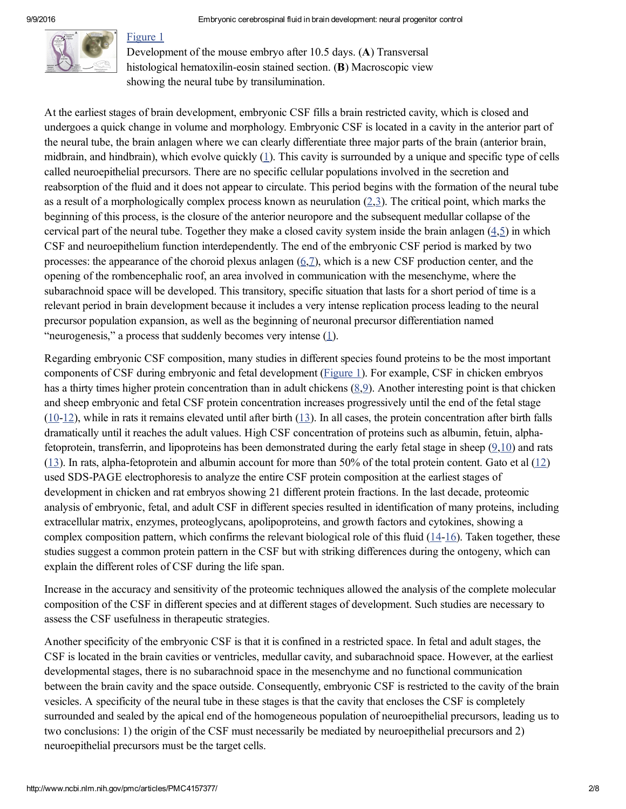

[Figure](http://www.ncbi.nlm.nih.gov/pmc/articles/PMC4157377/figure/F1/) 1

Development of the mouse embryo after 10.5 days. (A) Transversal histological hematoxilin-eosin stained section. (B) Macroscopic view showing the neural tube by transilumination.

At the earliest stages of brain development, embryonic CSF fills a brain restricted cavity, which is closed and undergoes a quick change in volume and morphology. Embryonic CSF is located in a cavity in the anterior part of the neural tube, the brain anlagen where we can clearly differentiate three major parts of the brain (anterior brain, midbrain, and hindbrain), which evolve quickly  $(1)$  $(1)$ . This cavity is surrounded by a unique and specific type of cells called neuroepithelial precursors. There are no specific cellular populations involved in the secretion and reabsorption of the fluid and it does not appear to circulate. This period begins with the formation of the neural tube as a result of a morphologically complex process known as neurulation [\(2,](#page-4-1)[3\)](#page-4-2). The critical point, which marks the beginning of this process, is the closure of the anterior neuropore and the subsequent medullar collapse of the cervical part of the neural tube. Together they make a closed cavity system inside the brain anlagen ([4,](#page-4-3)[5\)](#page-4-4) in which CSF and neuroepithelium function interdependently. The end of the embryonic CSF period is marked by two processes: the appearance of the choroid plexus anlagen  $(6,7)$  $(6,7)$ , which is a new CSF production center, and the opening of the rombencephalic roof, an area involved in communication with the mesenchyme, where the subarachnoid space will be developed. This transitory, specific situation that lasts for a short period of time is a relevant period in brain development because it includes a very intense replication process leading to the neural precursor population expansion, as well as the beginning of neuronal precursor differentiation named "neurogenesis," a process that suddenly becomes very intense  $(1)$  $(1)$  $(1)$ .

Regarding embryonic CSF composition, many studies in different species found proteins to be the most important components of CSF during embryonic and fetal development ([Figure](http://www.ncbi.nlm.nih.gov/pmc/articles/PMC4157377/figure/F1/) 1). For example, CSF in chicken embryos has a thirty times higher protein concentration than in adult chickens  $(8,9)$  $(8,9)$  $(8,9)$  $(8,9)$ . Another interesting point is that chicken and sheep embryonic and fetal CSF protein concentration increases progressively until the end of the fetal stage  $(10-12)$  $(10-12)$  $(10-12)$ , while in rats it remains elevated until after birth  $(13)$  $(13)$ . In all cases, the protein concentration after birth falls dramatically until it reaches the adult values. High CSF concentration of proteins such as albumin, fetuin, alphafetoprotein, transferrin, and lipoproteins has been demonstrated during the early fetal stage in sheep [\(9,](#page-4-8)[10\)](#page-4-9) and rats [\(13\)](#page-5-1). In rats, alpha-fetoprotein and albumin account for more than 50% of the total protein content. Gato et al  $(12)$  $(12)$ used SDS-PAGE electrophoresis to analyze the entire CSF protein composition at the earliest stages of development in chicken and rat embryos showing 21 different protein fractions. In the last decade, proteomic analysis of embryonic, fetal, and adult CSF in different species resulted in identification of many proteins, including extracellular matrix, enzymes, proteoglycans, apolipoproteins, and growth factors and cytokines, showing a complex composition pattern, which confirms the relevant biological role of this fluid  $(14-16)$  $(14-16)$  $(14-16)$ . Taken together, these studies suggest a common protein pattern in the CSF but with striking differences during the ontogeny, which can explain the different roles of CSF during the life span.

Increase in the accuracy and sensitivity of the proteomic techniques allowed the analysis of the complete molecular composition of the CSF in different species and at different stages of development. Such studies are necessary to assess the CSF usefulness in therapeutic strategies.

Another specificity of the embryonic CSF is that it is confined in a restricted space. In fetal and adult stages, the CSF is located in the brain cavities or ventricles, medullar cavity, and subarachnoid space. However, at the earliest developmental stages, there is no subarachnoid space in the mesenchyme and no functional communication between the brain cavity and the space outside. Consequently, embryonic CSF is restricted to the cavity of the brain vesicles. A specificity of the neural tube in these stages is that the cavity that encloses the CSF is completely surrounded and sealed by the apical end of the homogeneous population of neuroepithelial precursors, leading us to two conclusions: 1) the origin of the CSF must necessarily be mediated by neuroepithelial precursors and 2) neuroepithelial precursors must be the target cells.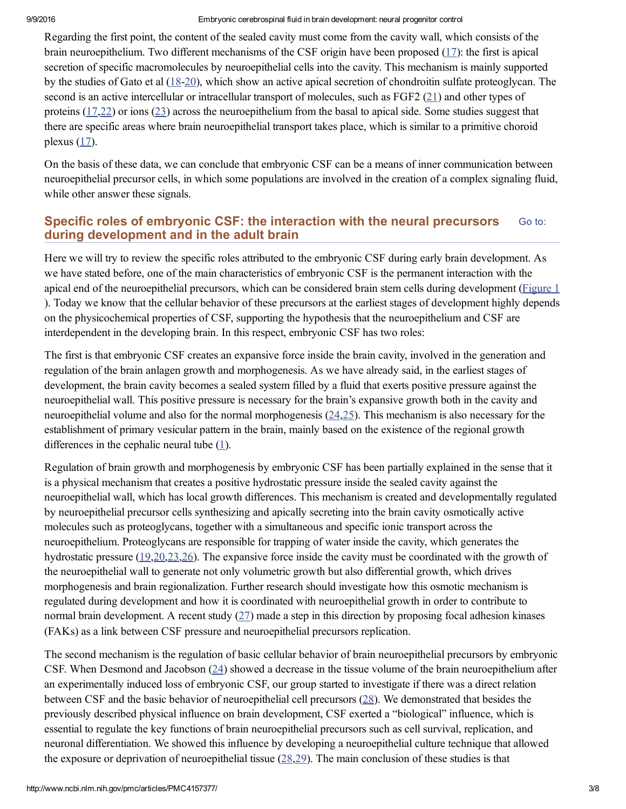Regarding the first point, the content of the sealed cavity must come from the cavity wall, which consists of the brain neuroepithelium. Two different mechanisms of the CSF origin have been proposed [\(17\)](#page-5-4): the first is apical secretion of specific macromolecules by neuroepithelial cells into the cavity. This mechanism is mainly supported by the studies of Gato et al  $(18-20)$  $(18-20)$  $(18-20)$ , which show an active apical secretion of chondroitin sulfate proteoglycan. The second is an active intercellular or intracellular transport of molecules, such as FGF2 ([21\)](#page-5-7) and other types of proteins  $(17,22)$  $(17,22)$  $(17,22)$  $(17,22)$  or ions  $(23)$  $(23)$  across the neuroepithelium from the basal to apical side. Some studies suggest that there are specific areas where brain neuroepithelial transport takes place, which is similar to a primitive choroid plexus [\(17](#page-5-4)).

On the basis of these data, we can conclude that embryonic CSF can be a means of inner communication between neuroepithelial precursor cells, in which some populations are involved in the creation of a complex signaling fluid, while other answer these signals.

#### Go to: Specific roles of embryonic CSF: the interaction with the neural precursors during development and in the adult brain

Here we will try to review the specific roles attributed to the embryonic CSF during early brain development. As we have stated before, one of the main characteristics of embryonic CSF is the permanent interaction with the apical end of the neuroepithelial precursors, which can be considered brain stem cells during development [\(Figure](http://www.ncbi.nlm.nih.gov/pmc/articles/PMC4157377/figure/F1/) 1 ). Today we know that the cellular behavior of these precursors at the earliest stages of development highly depends on the physicochemical properties of CSF, supporting the hypothesis that the neuroepithelium and CSF are interdependent in the developing brain. In this respect, embryonic CSF has two roles:

The first is that embryonic CSF creates an expansive force inside the brain cavity, involved in the generation and regulation of the brain anlagen growth and morphogenesis. As we have already said, in the earliest stages of development, the brain cavity becomes a sealed system filled by a fluid that exerts positive pressure against the neuroepithelial wall. This positive pressure is necessary for the brain's expansive growth both in the cavity and neuroepithelial volume and also for the normal morphogenesis ([24,](#page-5-10)[25\)](#page-5-11). This mechanism is also necessary for the establishment of primary vesicular pattern in the brain, mainly based on the existence of the regional growth differences in the cephalic neural tube ([1](#page-4-0)).

Regulation of brain growth and morphogenesis by embryonic CSF has been partially explained in the sense that it is a physical mechanism that creates a positive hydrostatic pressure inside the sealed cavity against the neuroepithelial wall, which has local growth differences. This mechanism is created and developmentally regulated by neuroepithelial precursor cells synthesizing and apically secreting into the brain cavity osmotically active molecules such as proteoglycans, together with a simultaneous and specific ionic transport across the neuroepithelium. Proteoglycans are responsible for trapping of water inside the cavity, which generates the hydrostatic pressure ([19,](#page-5-12)[20,](#page-5-6)[23](#page-5-9)[,26](#page-5-13)). The expansive force inside the cavity must be coordinated with the growth of the neuroepithelial wall to generate not only volumetric growth but also differential growth, which drives morphogenesis and brain regionalization. Further research should investigate how this osmotic mechanism is regulated during development and how it is coordinated with neuroepithelial growth in order to contribute to normal brain development. A recent study ([27\)](#page-5-14) made a step in this direction by proposing focal adhesion kinases (FAKs) as a link between CSF pressure and neuroepithelial precursors replication.

The second mechanism is the regulation of basic cellular behavior of brain neuroepithelial precursors by embryonic CSF. When Desmond and Jacobson  $(24)$  $(24)$  showed a decrease in the tissue volume of the brain neuroepithelium after an experimentally induced loss of embryonic CSF, our group started to investigate if there was a direct relation between CSF and the basic behavior of neuroepithelial cell precursors [\(28](#page-6-0)). We demonstrated that besides the previously described physical influence on brain development, CSF exerted a "biological" influence, which is essential to regulate the key functions of brain neuroepithelial precursors such as cell survival, replication, and neuronal differentiation. We showed this influence by developing a neuroepithelial culture technique that allowed the exposure or deprivation of neuroepithelial tissue  $(28,29)$  $(28,29)$  $(28,29)$ . The main conclusion of these studies is that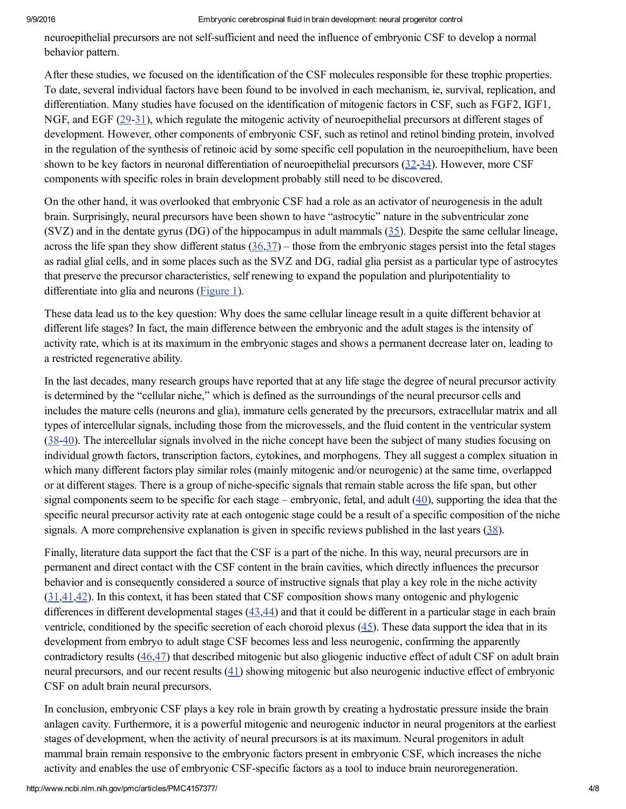neuroepithelial precursors are not selfsufficient and need the influence of embryonic CSF to develop a normal behavior pattern.

After these studies, we focused on the identification of the CSF molecules responsible for these trophic properties. To date, several individual factors have been found to be involved in each mechanism, ie, survival, replication, and differentiation. Many studies have focused on the identification of mitogenic factors in CSF, such as FGF2, IGF1, NGF, and EGF ([29](#page-6-1)-[31](#page-6-2)), which regulate the mitogenic activity of neuroepithelial precursors at different stages of development. However, other components of embryonic CSF, such as retinol and retinol binding protein, involved in the regulation of the synthesis of retinoic acid by some specific cell population in the neuroepithelium, have been shown to be key factors in neuronal differentiation of neuroepithelial precursors ([32](#page-6-3)[34](#page-6-4)). However, more CSF components with specific roles in brain development probably still need to be discovered.

On the other hand, it was overlooked that embryonic CSF had a role as an activator of neurogenesis in the adult brain. Surprisingly, neural precursors have been shown to have "astrocytic" nature in the subventricular zone (SVZ) and in the dentate gyrus (DG) of the hippocampus in adult mammals [\(35\)](#page-6-5). Despite the same cellular lineage, across the life span they show different status  $(36,37)$  $(36,37)$  $(36,37)$  – those from the embryonic stages persist into the fetal stages as radial glial cells, and in some places such as the SVZ and DG, radial glia persist as a particular type of astrocytes that preserve the precursor characteristics, self renewing to expand the population and pluripotentiality to differentiate into glia and neurons [\(Figure](http://www.ncbi.nlm.nih.gov/pmc/articles/PMC4157377/figure/F1/) 1).

These data lead us to the key question: Why does the same cellular lineage result in a quite different behavior at different life stages? In fact, the main difference between the embryonic and the adult stages is the intensity of activity rate, which is at its maximum in the embryonic stages and shows a permanent decrease later on, leading to a restricted regenerative ability.

In the last decades, many research groups have reported that at any life stage the degree of neural precursor activity is determined by the "cellular niche," which is defined as the surroundings of the neural precursor cells and includes the mature cells (neurons and glia), immature cells generated by the precursors, extracellular matrix and all types of intercellular signals, including those from the microvessels, and the fluid content in the ventricular system [\(38](#page-6-8)-[40\)](#page-6-9). The intercellular signals involved in the niche concept have been the subject of many studies focusing on individual growth factors, transcription factors, cytokines, and morphogens. They all suggest a complex situation in which many different factors play similar roles (mainly mitogenic and/or neurogenic) at the same time, overlapped or at different stages. There is a group of nichespecific signals that remain stable across the life span, but other signal components seem to be specific for each stage – embryonic, fetal, and adult  $(40)$  $(40)$ , supporting the idea that the specific neural precursor activity rate at each ontogenic stage could be a result of a specific composition of the niche signals. A more comprehensive explanation is given in specific reviews published in the last years [\(38\)](#page-6-8).

Finally, literature data support the fact that the CSF is a part of the niche. In this way, neural precursors are in permanent and direct contact with the CSF content in the brain cavities, which directly influences the precursor behavior and is consequently considered a source of instructive signals that play a key role in the niche activity [\(31,](#page-6-2)[41,](#page-6-10)[42\)](#page-6-11). In this context, it has been stated that CSF composition shows many ontogenic and phylogenic differences in different developmental stages [\(43](#page-6-12)[,44](#page-7-0)) and that it could be different in a particular stage in each brain ventricle, conditioned by the specific secretion of each choroid plexus ([45\)](#page-7-1). These data support the idea that in its development from embryo to adult stage CSF becomes less and less neurogenic, confirming the apparently contradictory results [\(46,](#page-7-2)[47\)](#page-7-3) that described mitogenic but also gliogenic inductive effect of adult CSF on adult brain neural precursors, and our recent results [\(41](#page-6-10)) showing mitogenic but also neurogenic inductive effect of embryonic CSF on adult brain neural precursors.

In conclusion, embryonic CSF plays a key role in brain growth by creating a hydrostatic pressure inside the brain anlagen cavity. Furthermore, it is a powerful mitogenic and neurogenic inductor in neural progenitors at the earliest stages of development, when the activity of neural precursors is at its maximum. Neural progenitors in adult mammal brain remain responsive to the embryonic factors present in embryonic CSF, which increases the niche activity and enables the use of embryonic CSF-specific factors as a tool to induce brain neuroregeneration.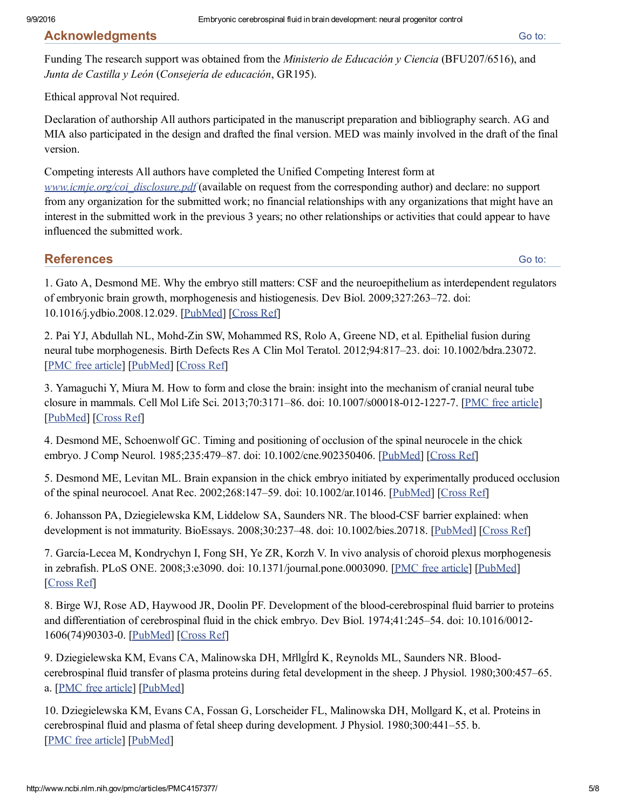# Acknowledgments

Junta de Castilla y León (Consejería de educación, GR195).

Ethical approval Not required.

Declaration of authorship All authors participated in the manuscript preparation and bibliography search. AG and MIA also participated in the design and drafted the final version. MED was mainly involved in the draft of the final version.

Competing interests All authors have completed the Unified Competing Interest form at [www.icmje.org/coi\\_disclosure.pdf](http://www.icmje.org/coi_disclosure.pdf) (available on request from the corresponding author) and declare: no support from any organization for the submitted work; no financial relationships with any organizations that might have an interest in the submitted work in the previous 3 years; no other relationships or activities that could appear to have influenced the submitted work.

## **References**

Go to:

Go to:

<span id="page-4-0"></span>1. Gato A, Desmond ME. Why the embryo still matters: CSF and the neuroepithelium as interdependent regulators of embryonic brain growth, morphogenesis and histiogenesis. Dev Biol. 2009;327:263–72. doi: 10.1016/j.ydbio.2008.12.029. [\[PubMed\]](http://www.ncbi.nlm.nih.gov/pubmed/19154733) [\[Cross](http://dx.doi.org/10.1016%2Fj.ydbio.2008.12.029) Ref]

<span id="page-4-1"></span>2. Pai YJ, Abdullah NL, Mohd-Zin SW, Mohammed RS, Rolo A, Greene ND, et al. Epithelial fusion during neural tube morphogenesis. Birth Defects Res A Clin Mol Teratol. 2012;94:817–23. doi: 10.1002/bdra.23072. [PMC free [article](http://www.ncbi.nlm.nih.gov/pmc/articles/PMC3629791/)] [[PubMed](http://www.ncbi.nlm.nih.gov/pubmed/22945349)] [\[Cross](http://dx.doi.org/10.1002%2Fbdra.23072) Ref]

<span id="page-4-2"></span>3. Yamaguchi Y, Miura M. How to form and close the brain: insight into the mechanism of cranial neural tube closure in mammals. Cell Mol Life Sci. 2013;70:3171-86. doi: 10.1007/s00018-012-1227-7. [PMC free [article\]](http://www.ncbi.nlm.nih.gov/pmc/articles/PMC3742426/) [\[PubMed\]](http://www.ncbi.nlm.nih.gov/pubmed/23242429) [\[Cross](http://dx.doi.org/10.1007%2Fs00018-012-1227-7) Ref]

<span id="page-4-3"></span>4. Desmond ME, Schoenwolf GC. Timing and positioning of occlusion of the spinal neurocele in the chick embryo. J Comp Neurol. 1985;235:479-87. doi: 10.1002/cne.902350406. [[PubMed](http://www.ncbi.nlm.nih.gov/pubmed/3998220)] [\[Cross](http://dx.doi.org/10.1002%2Fcne.902350406) Ref]

<span id="page-4-4"></span>5. Desmond ME, Levitan ML. Brain expansion in the chick embryo initiated by experimentally produced occlusion of the spinal neurocoel. Anat Rec. 2002;268:147–59. doi: 10.1002/ar.10146. [\[PubMed\]](http://www.ncbi.nlm.nih.gov/pubmed/12221721) [\[Cross](http://dx.doi.org/10.1002%2Far.10146) Ref]

<span id="page-4-5"></span>6. Johansson PA, Dziegielewska KM, Liddelow SA, Saunders NR. The bloodCSF barrier explained: when development is not immaturity. BioEssays. 2008;30:237–48. doi: 10.1002/bies.20718. [\[PubMed\]](http://www.ncbi.nlm.nih.gov/pubmed/18293362) [\[Cross](http://dx.doi.org/10.1002%2Fbies.20718) Ref]

<span id="page-4-6"></span>7. GarcíaLecea M, Kondrychyn I, Fong SH, Ye ZR, Korzh V. In vivo analysis of choroid plexus morphogenesis in zebrafish. PLoS ONE. 2008;3:e3090. doi: 10.1371/journal.pone.0003090. [PMC free [article](http://www.ncbi.nlm.nih.gov/pmc/articles/PMC2525818/)] [\[PubMed\]](http://www.ncbi.nlm.nih.gov/pubmed/18769618) [\[Cross](http://dx.doi.org/10.1371%2Fjournal.pone.0003090) Ref]

<span id="page-4-7"></span>8. Birge WJ, Rose AD, Haywood JR, Doolin PF. Development of the blood-cerebrospinal fluid barrier to proteins and differentiation of cerebrospinal fluid in the chick embryo. Dev Biol. 1974;41:245–54. doi: 10.1016/0012 1606(74)90303-0. [[PubMed\]](http://www.ncbi.nlm.nih.gov/pubmed/4452410) [[Cross](http://dx.doi.org/10.1016%2F0012-1606(74)90303-0) Ref]

<span id="page-4-8"></span>9. Dziegielewska KM, Evans CA, Malinowska DH, Mřllgĺrd K, Reynolds ML, Saunders NR. Bloodcerebrospinal fluid transfer of plasma proteins during fetal development in the sheep. J Physiol. 1980;300:457–65. a. [PMC free [article\]](http://www.ncbi.nlm.nih.gov/pmc/articles/PMC1279365/) [\[PubMed\]](http://www.ncbi.nlm.nih.gov/pubmed/6155468)

<span id="page-4-9"></span>10. Dziegielewska KM, Evans CA, Fossan G, Lorscheider FL, Malinowska DH, Mollgard K, et al. Proteins in cerebrospinal fluid and plasma of fetal sheep during development. J Physiol. 1980;300:441–55. b. [PMC free [article](http://www.ncbi.nlm.nih.gov/pmc/articles/PMC1279364/)] [[PubMed](http://www.ncbi.nlm.nih.gov/pubmed/6155467)]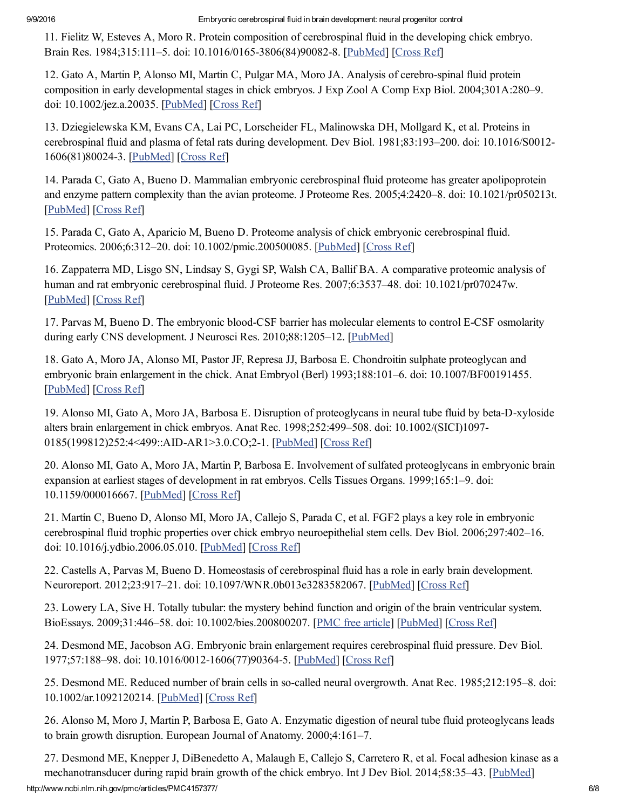11. Fielitz W, Esteves A, Moro R. Protein composition of cerebrospinal fluid in the developing chick embryo. Brain Res. 1984;315:111–5. doi: 10.1016/01653806(84)900828. [[PubMed\]](http://www.ncbi.nlm.nih.gov/pubmed/6202375) [[Cross](http://dx.doi.org/10.1016%2F0165-3806(84)90082-8) Ref]

<span id="page-5-0"></span>12. Gato A, Martin P, Alonso MI, Martin C, Pulgar MA, Moro JA. Analysis of cerebrospinal fluid protein composition in early developmental stages in chick embryos. J Exp Zool A Comp Exp Biol. 2004;301A:280–9. doi: 10.1002/jez.a.20035. [[PubMed\]](http://www.ncbi.nlm.nih.gov/pubmed/15039986) [[Cross](http://dx.doi.org/10.1002%2Fjez.a.20035) Ref]

<span id="page-5-1"></span>13. Dziegielewska KM, Evans CA, Lai PC, Lorscheider FL, Malinowska DH, Mollgard K, et al. Proteins in cerebrospinal fluid and plasma of fetal rats during development. Dev Biol. 1981;83:193–200. doi: 10.1016/S0012 1606(81)800243. [[PubMed\]](http://www.ncbi.nlm.nih.gov/pubmed/6165637) [[Cross](http://dx.doi.org/10.1016%2FS0012-1606(81)80024-3) Ref]

<span id="page-5-2"></span>14. Parada C, Gato A, Bueno D. Mammalian embryonic cerebrospinal fluid proteome has greater apolipoprotein and enzyme pattern complexity than the avian proteome. J Proteome Res. 2005;4:2420–8. doi: 10.1021/pr050213t. [\[PubMed\]](http://www.ncbi.nlm.nih.gov/pubmed/16335996) [\[Cross](http://dx.doi.org/10.1021%2Fpr050213t) Ref]

15. Parada C, Gato A, Aparicio M, Bueno D. Proteome analysis of chick embryonic cerebrospinal fluid. Proteomics. 2006;6:312-20. doi: 10.1002/pmic.200500085. [\[PubMed\]](http://www.ncbi.nlm.nih.gov/pubmed/16287170) [[Cross](http://dx.doi.org/10.1002%2Fpmic.200500085) Ref]

<span id="page-5-3"></span>16. Zappaterra MD, Lisgo SN, Lindsay S, Gygi SP, Walsh CA, Ballif BA. A comparative proteomic analysis of human and rat embryonic cerebrospinal fluid. J Proteome Res. 2007;6:3537–48. doi: 10.1021/pr070247w. [\[PubMed\]](http://www.ncbi.nlm.nih.gov/pubmed/17696520) [\[Cross](http://dx.doi.org/10.1021%2Fpr070247w) Ref]

<span id="page-5-4"></span>17. Parvas M, Bueno D. The embryonic blood-CSF barrier has molecular elements to control E-CSF osmolarity during early CNS development. J Neurosci Res. 2010;88:1205-12. [\[PubMed](http://www.ncbi.nlm.nih.gov/pubmed/19937806)]

<span id="page-5-5"></span>18. Gato A, Moro JA, Alonso MI, Pastor JF, Represa JJ, Barbosa E. Chondroitin sulphate proteoglycan and embryonic brain enlargement in the chick. Anat Embryol (Berl) 1993;188:101–6. doi: 10.1007/BF00191455. [\[PubMed\]](http://www.ncbi.nlm.nih.gov/pubmed/8214620) [\[Cross](http://dx.doi.org/10.1007%2FBF00191455) Ref]

<span id="page-5-12"></span>19. Alonso MI, Gato A, Moro JA, Barbosa E. Disruption of proteoglycans in neural tube fluid by beta-D-xyloside alters brain enlargement in chick embryos. Anat Rec. 1998;252:499–508. doi: 10.1002/(SICI)1097 0185(199812)252:4<499::AID-AR1>3.0.CO;2-1. [[PubMed](http://www.ncbi.nlm.nih.gov/pubmed/9845201)] [[Cross](http://dx.doi.org/10.1002%2F(SICI)1097-0185(199812)252%3A4%3C499%3A%3AAID-AR1%3E3.0.CO%3B2-1) Ref]

<span id="page-5-6"></span>20. Alonso MI, Gato A, Moro JA, Martin P, Barbosa E. Involvement of sulfated proteoglycans in embryonic brain expansion at earliest stages of development in rat embryos. Cells Tissues Organs. 1999;165:1–9. doi: 10.1159/000016667. [\[PubMed](http://www.ncbi.nlm.nih.gov/pubmed/10460967)] [\[Cross](http://dx.doi.org/10.1159%2F000016667) Ref]

<span id="page-5-7"></span>21. Martín C, Bueno D, Alonso MI, Moro JA, Callejo S, Parada C, et al. FGF2 plays a key role in embryonic cerebrospinal fluid trophic properties over chick embryo neuroepithelial stem cells. Dev Biol. 2006;297:402–16. doi: 10.1016/j.ydbio.2006.05.010. [[PubMed\]](http://www.ncbi.nlm.nih.gov/pubmed/16916506) [[Cross](http://dx.doi.org/10.1016%2Fj.ydbio.2006.05.010) Ref]

<span id="page-5-8"></span>22. Castells A, Parvas M, Bueno D. Homeostasis of cerebrospinal fluid has a role in early brain development. Neuroreport. 2012;23:917–21. doi: 10.1097/WNR.0b013e3283582067. [[PubMed](http://www.ncbi.nlm.nih.gov/pubmed/22922657)] [\[Cross](http://dx.doi.org/10.1097%2FWNR.0b013e3283582067) Ref]

<span id="page-5-9"></span>23. Lowery LA, Sive H. Totally tubular: the mystery behind function and origin of the brain ventricular system. BioEssays. 2009;31:446–58. doi: 10.1002/bies.200800207. [PMC free [article\]](http://www.ncbi.nlm.nih.gov/pmc/articles/PMC3003255/) [[PubMed](http://www.ncbi.nlm.nih.gov/pubmed/19274662)] [\[Cross](http://dx.doi.org/10.1002%2Fbies.200800207) Ref]

<span id="page-5-10"></span>24. Desmond ME, Jacobson AG. Embryonic brain enlargement requires cerebrospinal fluid pressure. Dev Biol. 1977;57:188–98. doi: 10.1016/00121606(77)903645. [\[PubMed\]](http://www.ncbi.nlm.nih.gov/pubmed/863106) [\[Cross](http://dx.doi.org/10.1016%2F0012-1606(77)90364-5) Ref]

<span id="page-5-11"></span>25. Desmond ME. Reduced number of brain cells in socalled neural overgrowth. Anat Rec. 1985;212:195–8. doi: 10.1002/ar.1092120214. [\[PubMed\]](http://www.ncbi.nlm.nih.gov/pubmed/3842041) [[Cross](http://dx.doi.org/10.1002%2Far.1092120214) Ref]

<span id="page-5-13"></span>26. Alonso M, Moro J, Martin P, Barbosa E, Gato A. Enzymatic digestion of neural tube fluid proteoglycans leads to brain growth disruption. European Journal of Anatomy. 2000;4:161–7.

<span id="page-5-14"></span>http://www.ncbi.nlm.nih.gov/pmc/articles/PMC4157377/ 6/8 27. Desmond ME, Knepper J, DiBenedetto A, Malaugh E, Callejo S, Carretero R, et al. Focal adhesion kinase as a mechanotransducer during rapid brain growth of the chick embryo. Int J Dev Biol. 2014;58:35–43. [\[PubMed](http://www.ncbi.nlm.nih.gov/pubmed/24860993)]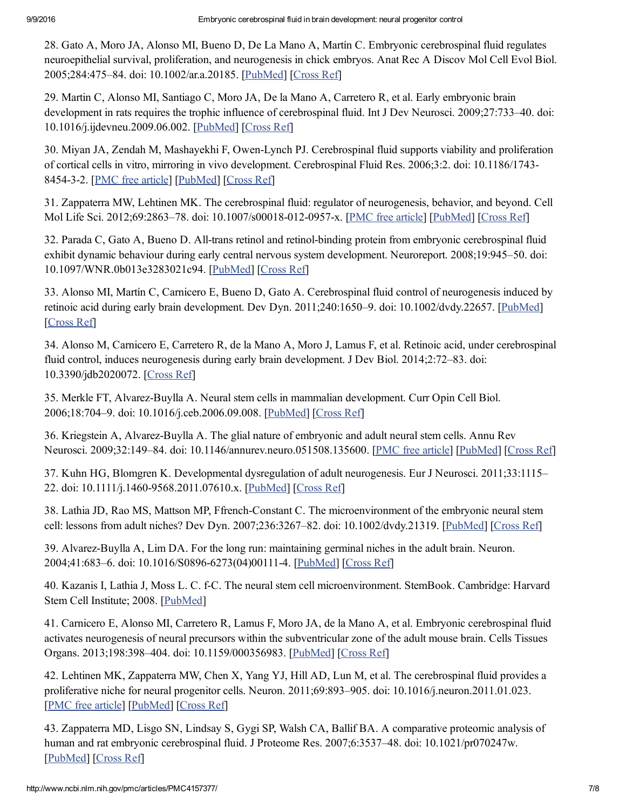<span id="page-6-0"></span>28. Gato A, Moro JA, Alonso MI, Bueno D, De La Mano A, Martín C. Embryonic cerebrospinal fluid regulates neuroepithelial survival, proliferation, and neurogenesis in chick embryos. Anat Rec A Discov Mol Cell Evol Biol. 2005;284:475–84. doi: 10.1002/ar.a.20185. [\[PubMed](http://www.ncbi.nlm.nih.gov/pubmed/15803475)] [\[Cross](http://dx.doi.org/10.1002%2Far.a.20185) Ref]

<span id="page-6-1"></span>29. Martin C, Alonso MI, Santiago C, Moro JA, De la Mano A, Carretero R, et al. Early embryonic brain development in rats requires the trophic influence of cerebrospinal fluid. Int J Dev Neurosci. 2009;27:733–40. doi: 10.1016/j.ijdevneu.2009.06.002. [[PubMed](http://www.ncbi.nlm.nih.gov/pubmed/19540909)] [[Cross](http://dx.doi.org/10.1016%2Fj.ijdevneu.2009.06.002) Ref]

30. Miyan JA, Zendah M, Mashayekhi F, OwenLynch PJ. Cerebrospinal fluid supports viability and proliferation of cortical cells in vitro, mirroring in vivo development. Cerebrospinal Fluid Res. 2006;3:2. doi: 10.1186/1743 845432. [PMC free [article\]](http://www.ncbi.nlm.nih.gov/pmc/articles/PMC1450312/) [[PubMed](http://www.ncbi.nlm.nih.gov/pubmed/16549001)] [[Cross](http://dx.doi.org/10.1186%2F1743-8454-3-2) Ref]

<span id="page-6-2"></span>31. Zappaterra MW, Lehtinen MK. The cerebrospinal fluid: regulator of neurogenesis, behavior, and beyond. Cell Mol Life Sci. 2012;69:2863-78. doi: 10.1007/s00018-012-0957-x. [PMC free [article\]](http://www.ncbi.nlm.nih.gov/pmc/articles/PMC3856656/) [[PubMed](http://www.ncbi.nlm.nih.gov/pubmed/22415326)] [\[Cross](http://dx.doi.org/10.1007%2Fs00018-012-0957-x) Ref]

<span id="page-6-3"></span>32. Parada C, Gato A, Bueno D. All-trans retinol and retinol-binding protein from embryonic cerebrospinal fluid exhibit dynamic behaviour during early central nervous system development. Neuroreport. 2008;19:945–50. doi: 10.1097/WNR.0b013e3283021c94. [\[PubMed](http://www.ncbi.nlm.nih.gov/pubmed/18520998)] [\[Cross](http://dx.doi.org/10.1097%2FWNR.0b013e3283021c94) Ref]

33. Alonso MI, Martín C, Carnicero E, Bueno D, Gato A. Cerebrospinal fluid control of neurogenesis induced by retinoic acid during early brain development. Dev Dyn. 2011;240:1650–9. doi: 10.1002/dvdy.22657. [\[PubMed\]](http://www.ncbi.nlm.nih.gov/pubmed/21594951) [\[Cross](http://dx.doi.org/10.1002%2Fdvdy.22657) Ref]

<span id="page-6-4"></span>34. Alonso M, Carnicero E, Carretero R, de la Mano A, Moro J, Lamus F, et al. Retinoic acid, under cerebrospinal fluid control, induces neurogenesis during early brain development. J Dev Biol. 2014;2:72–83. doi: 10.3390/jdb2020072. [\[Cross](http://dx.doi.org/10.3390%2Fjdb2020072) Ref]

<span id="page-6-5"></span>35. Merkle FT, Alvarez-Buylla A. Neural stem cells in mammalian development. Curr Opin Cell Biol. 2006;18:704–9. doi: 10.1016/j.ceb.2006.09.008. [\[PubMed\]](http://www.ncbi.nlm.nih.gov/pubmed/17046226) [\[Cross](http://dx.doi.org/10.1016%2Fj.ceb.2006.09.008) Ref]

<span id="page-6-6"></span>36. Kriegstein A, Alvarez-Buylla A. The glial nature of embryonic and adult neural stem cells. Annu Rev Neurosci. 2009;32:149–84. doi: 10.1146/annurev.neuro.051508.135600. [PMC free [article\]](http://www.ncbi.nlm.nih.gov/pmc/articles/PMC3086722/) [\[PubMed\]](http://www.ncbi.nlm.nih.gov/pubmed/19555289) [[Cross](http://dx.doi.org/10.1146%2Fannurev.neuro.051508.135600) Ref]

<span id="page-6-7"></span>37. Kuhn HG, Blomgren K. Developmental dysregulation of adult neurogenesis. Eur J Neurosci. 2011;33:1115– 22. doi: 10.1111/j.1460-9568.2011.07610.x. [\[PubMed](http://www.ncbi.nlm.nih.gov/pubmed/21395855)] [\[Cross](http://dx.doi.org/10.1111%2Fj.1460-9568.2011.07610.x) Ref]

<span id="page-6-8"></span>38. Lathia JD, Rao MS, Mattson MP, Ffrench-Constant C. The microenvironment of the embryonic neural stem cell: lessons from adult niches? Dev Dyn. 2007;236:3267–82. doi: 10.1002/dvdy.21319. [\[PubMed\]](http://www.ncbi.nlm.nih.gov/pubmed/17937403) [\[Cross](http://dx.doi.org/10.1002%2Fdvdy.21319) Ref]

39. Alvarez-Buylla A, Lim DA. For the long run: maintaining germinal niches in the adult brain. Neuron. 2004;41:683–6. doi: 10.1016/S0896-6273(04)00111-4. [\[PubMed\]](http://www.ncbi.nlm.nih.gov/pubmed/15003168) [\[Cross](http://dx.doi.org/10.1016%2FS0896-6273(04)00111-4) Ref]

<span id="page-6-9"></span>40. Kazanis I, Lathia J, Moss L. C. fC. The neural stem cell microenvironment. StemBook. Cambridge: Harvard Stem Cell Institute; 2008. [[PubMed](http://www.ncbi.nlm.nih.gov/pubmed/20614585)]

<span id="page-6-10"></span>41. Carnicero E, Alonso MI, Carretero R, Lamus F, Moro JA, de la Mano A, et al. Embryonic cerebrospinal fluid activates neurogenesis of neural precursors within the subventricular zone of the adult mouse brain. Cells Tissues Organs. 2013;198:398–404. doi: 10.1159/000356983. [\[PubMed\]](http://www.ncbi.nlm.nih.gov/pubmed/24401814) [[Cross](http://dx.doi.org/10.1159%2F000356983) Ref]

<span id="page-6-11"></span>42. Lehtinen MK, Zappaterra MW, Chen X, Yang YJ, Hill AD, Lun M, et al. The cerebrospinal fluid provides a proliferative niche for neural progenitor cells. Neuron. 2011;69:893–905. doi: 10.1016/j.neuron.2011.01.023. [PMC free [article](http://www.ncbi.nlm.nih.gov/pmc/articles/PMC3085909/)] [[PubMed](http://www.ncbi.nlm.nih.gov/pubmed/21382550)] [\[Cross](http://dx.doi.org/10.1016%2Fj.neuron.2011.01.023) Ref]

<span id="page-6-12"></span>43. Zappaterra MD, Lisgo SN, Lindsay S, Gygi SP, Walsh CA, Ballif BA. A comparative proteomic analysis of human and rat embryonic cerebrospinal fluid. J Proteome Res. 2007;6:3537–48. doi: 10.1021/pr070247w. [\[PubMed\]](http://www.ncbi.nlm.nih.gov/pubmed/17696520) [\[Cross](http://dx.doi.org/10.1021%2Fpr070247w) Ref]